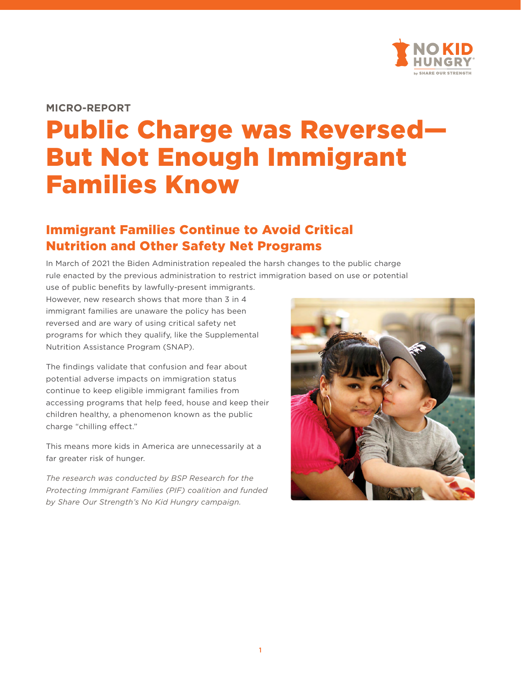

#### **MICRO-REPORT**

# Public Charge was Reversed— But Not Enough Immigrant Families Know

# Immigrant Families Continue to Avoid Critical Nutrition and Other Safety Net Programs

In March of 2021 the Biden Administration repealed the harsh changes to the public charge rule enacted by the previous administration to restrict immigration based on use or potential use of public benefits by lawfully-present immigrants.

However, new research shows that more than 3 in 4 immigrant families are unaware the policy has been reversed and are wary of using critical safety net programs for which they qualify, like the Supplemental Nutrition Assistance Program (SNAP).

The findings validate that confusion and fear about potential adverse impacts on immigration status continue to keep eligible immigrant families from accessing programs that help feed, house and keep their children healthy, a phenomenon known as the public charge "chilling effect."

This means more kids in America are unnecessarily at a far greater risk of hunger.

*The research was conducted by BSP Research for the Protecting Immigrant Families (PIF) coalition and funded by Share Our Strength's No Kid Hungry campaign.*

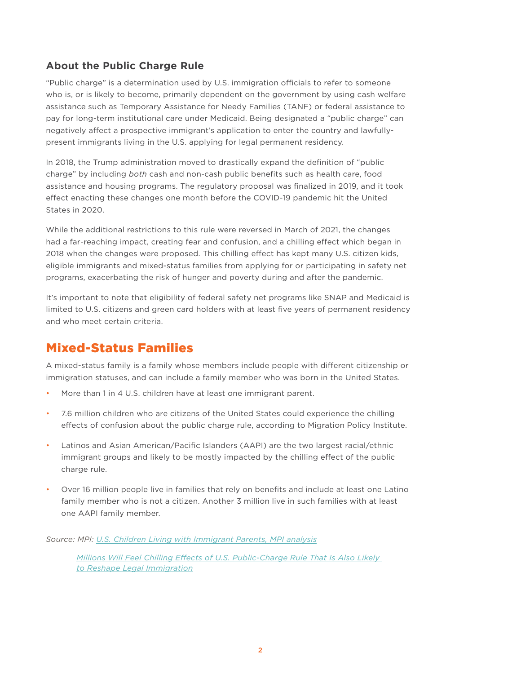## **About the Public Charge Rule**

"Public charge" is a determination used by U.S. immigration officials to refer to someone who is, or is likely to become, primarily dependent on the government by using cash welfare assistance such as Temporary Assistance for Needy Families (TANF) or federal assistance to pay for long-term institutional care under Medicaid. Being designated a "public charge" can negatively affect a prospective immigrant's application to enter the country and lawfullypresent immigrants living in the U.S. applying for legal permanent residency.

In 2018, the Trump administration moved to drastically expand the definition of "public charge" by including *both* cash and non-cash public benefits such as health care, food assistance and housing programs. The regulatory proposal was finalized in 2019, and it took effect enacting these changes one month before the COVID-19 pandemic hit the United States in 2020.

While the additional restrictions to this rule were reversed in March of 2021, the changes had a far-reaching impact, creating fear and confusion, and a chilling effect which began in 2018 when the changes were proposed. This chilling effect has kept many U.S. citizen kids, eligible immigrants and mixed-status families from applying for or participating in safety net programs, exacerbating the risk of hunger and poverty during and after the pandemic.

It's important to note that eligibility of federal safety net programs like SNAP and Medicaid is limited to U.S. citizens and green card holders with at least five years of permanent residency and who meet certain criteria.

## Mixed-Status Families

A mixed-status family is a family whose members include people with different citizenship or immigration statuses, and can include a family member who was born in the United States.

- More than 1 in 4 U.S. children have at least one immigrant parent.
- 7.6 million children who are citizens of the United States could experience the chilling effects of confusion about the public charge rule, according to Migration Policy Institute.
- Latinos and Asian American/Pacific Islanders (AAPI) are the two largest racial/ethnic immigrant groups and likely to be mostly impacted by the chilling effect of the public charge rule.
- Over 16 million people live in families that rely on benefits and include at least one Latino family member who is not a citizen. Another 3 million live in such families with at least one AAPI family member.

*Source: MPI: [U.S. Children Living with Immigrant Parents, MPI analysis](https://www.migrationpolicy.org/article/frequently-requested-statistics-immigrants-and-immigration-united-states#Children%20of%20Immigrants)*

 *[Millions Will Feel Chilling Effects of U.S. Public-Charge Rule That Is Also Likely](https://www.migrationpolicy.org/news/chilling-effects-us-public-charge-rule-commentary
)  [to Reshape Legal Immigration](https://www.migrationpolicy.org/news/chilling-effects-us-public-charge-rule-commentary
)*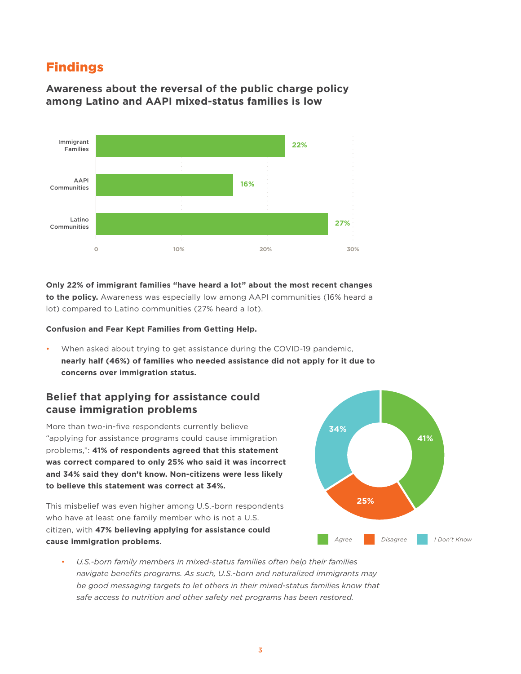## Findings

### **Awareness about the reversal of the public charge policy among Latino and AAPI mixed-status families is low**



**Only 22% of immigrant families "have heard a lot" about the most recent changes to the policy.** Awareness was especially low among AAPI communities (16% heard a lot) compared to Latino communities (27% heard a lot).

#### **Confusion and Fear Kept Families from Getting Help.**

• When asked about trying to get assistance during the COVID-19 pandemic, **nearly half (46%) of families who needed assistance did not apply for it due to concerns over immigration status.**

### **Belief that applying for assistance could cause immigration problems**

More than two-in-five respondents currently believe "applying for assistance programs could cause immigration problems,": **41% of respondents agreed that this statement was correct compared to only 25% who said it was incorrect and 34% said they don't know. Non-citizens were less likely to believe this statement was correct at 34%.**

This misbelief was even higher among U.S.-born respondents who have at least one family member who is not a U.S. citizen, with **47% believing applying for assistance could cause immigration problems.**



• *U.S.-born family members in mixed-status families often help their families navigate benefits programs. As such, U.S.-born and naturalized immigrants may be good messaging targets to let others in their mixed-status families know that safe access to nutrition and other safety net programs has been restored.*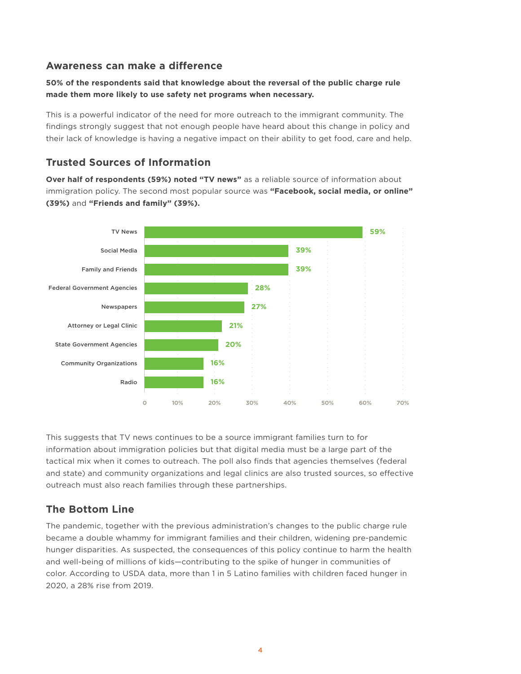#### **Awareness can make a difference**

#### **50% of the respondents said that knowledge about the reversal of the public charge rule made them more likely to use safety net programs when necessary.**

This is a powerful indicator of the need for more outreach to the immigrant community. The findings strongly suggest that not enough people have heard about this change in policy and their lack of knowledge is having a negative impact on their ability to get food, care and help.

#### **Trusted Sources of Information**

**Over half of respondents (59%) noted "TV news"** as a reliable source of information about immigration policy. The second most popular source was **"Facebook, social media, or online" (39%)** and **"Friends and family" (39%).**



This suggests that TV news continues to be a source immigrant families turn to for information about immigration policies but that digital media must be a large part of the tactical mix when it comes to outreach. The poll also finds that agencies themselves (federal and state) and community organizations and legal clinics are also trusted sources, so effective outreach must also reach families through these partnerships.

#### **The Bottom Line**

The pandemic, together with the previous administration's changes to the public charge rule became a double whammy for immigrant families and their children, widening pre-pandemic hunger disparities. As suspected, the consequences of this policy continue to harm the health and well-being of millions of kids—contributing to the spike of hunger in communities of color. According to USDA data, more than 1 in 5 Latino families with children faced hunger in 2020, a 28% rise from 2019.